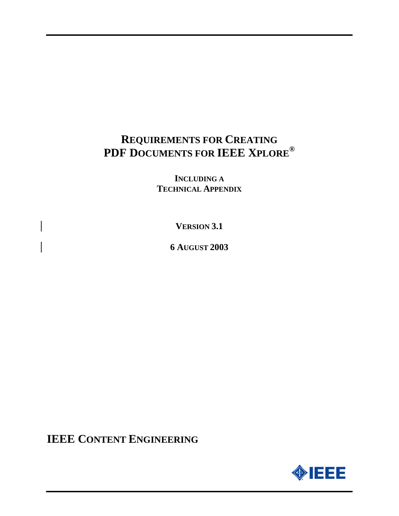# **REQUIREMENTS FOR CREATING PDF DOCUMENTS FOR IEEE XPLORE®**

**INCLUDING A TECHNICAL APPENDIX**

**VERSION 3.1**

**6 AUGUST 2003**

**IEEE CONTENT ENGINEERING**

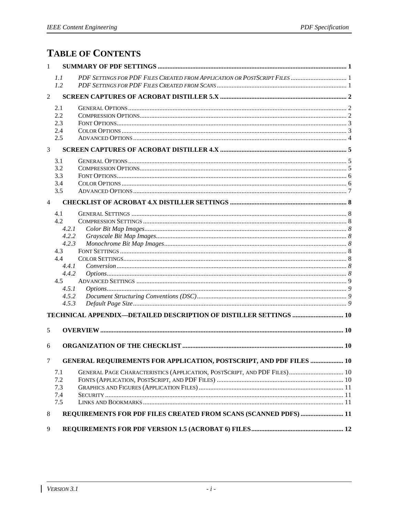# **TABLE OF CONTENTS**

| 1              |                |                                                                            |  |
|----------------|----------------|----------------------------------------------------------------------------|--|
|                | 1.1<br>1.2     |                                                                            |  |
|                |                |                                                                            |  |
| $\overline{2}$ |                |                                                                            |  |
|                | 2.1            |                                                                            |  |
|                | 2.2            |                                                                            |  |
|                | 2.3            |                                                                            |  |
|                | 2.4            |                                                                            |  |
|                | 2.5            |                                                                            |  |
| 3              |                |                                                                            |  |
|                | 3.1            |                                                                            |  |
|                | 3.2            |                                                                            |  |
|                | 3.3            |                                                                            |  |
|                | 3.4            |                                                                            |  |
|                | 3.5            |                                                                            |  |
| $\overline{4}$ |                |                                                                            |  |
|                | 4.1            |                                                                            |  |
|                | 4.2            |                                                                            |  |
|                | 4.2.1          |                                                                            |  |
|                | 4.2.2          |                                                                            |  |
|                | 4.2.3          |                                                                            |  |
|                | 4.3            |                                                                            |  |
|                | 4.4            |                                                                            |  |
|                | 4.4.1          |                                                                            |  |
|                | 4.4.2          |                                                                            |  |
|                | 4.5            |                                                                            |  |
|                | 4.5.1<br>4.5.2 |                                                                            |  |
|                | 4.5.3          |                                                                            |  |
|                |                |                                                                            |  |
|                |                | TECHNICAL APPENDIX-DETAILED DESCRIPTION OF DISTILLER SETTINGS  10          |  |
| 5              |                |                                                                            |  |
| 6              |                |                                                                            |  |
| $\tau$         |                | <b>GENERAL REQUIREMENTS FOR APPLICATION, POSTSCRIPT, AND PDF FILES  10</b> |  |
|                |                |                                                                            |  |
|                | 7.1            | GENERAL PAGE CHARACTERISTICS (APPLICATION, POSTSCRIPT, AND PDF FILES) 10   |  |
|                | 7.2<br>7.3     |                                                                            |  |
|                | 7.4            |                                                                            |  |
|                | 7.5            |                                                                            |  |
|                |                |                                                                            |  |
| 8              |                | REQUIREMENTS FOR PDF FILES CREATED FROM SCANS (SCANNED PDFS)  11           |  |
| 9              |                |                                                                            |  |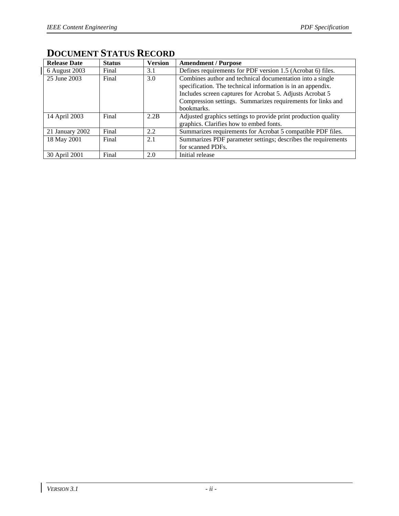$\begin{array}{c} \hline \end{array}$ 

| <b>Release Date</b> | <b>Status</b> | <b>Version</b> | <b>Amendment / Purpose</b>                                                                                               |
|---------------------|---------------|----------------|--------------------------------------------------------------------------------------------------------------------------|
| 6 August 2003       | Final         | 3.1            | Defines requirements for PDF version 1.5 (Acrobat 6) files.                                                              |
| 25 June 2003        | Final         | 3.0            | Combines author and technical documentation into a single<br>specification. The technical information is in an appendix. |
|                     |               |                | Includes screen captures for Acrobat 5. Adjusts Acrobat 5                                                                |
|                     |               |                | Compression settings. Summarizes requirements for links and                                                              |
|                     |               |                | bookmarks.                                                                                                               |
| 14 April 2003       | Final         | 2.2B           | Adjusted graphics settings to provide print production quality                                                           |
|                     |               |                | graphics. Clarifies how to embed fonts.                                                                                  |
| 21 January 2002     | Final         | 2.2            | Summarizes requirements for Acrobat 5 compatible PDF files.                                                              |
| 18 May 2001         | Final         | 2.1            | Summarizes PDF parameter settings; describes the requirements                                                            |
|                     |               |                | for scanned PDFs.                                                                                                        |
| 30 April 2001       | Final         | 2.0            | Initial release                                                                                                          |

# **DOCUMENT STATUS RECORD**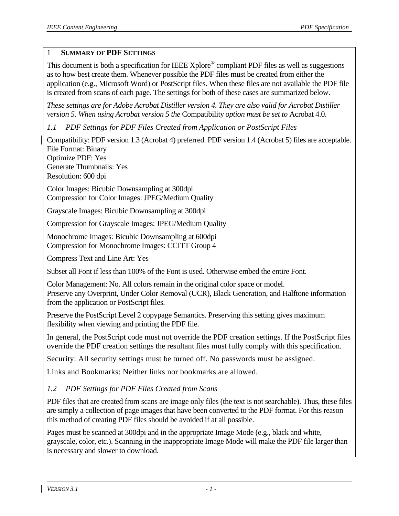#### 1 **SUMMARY OF PDF SETTINGS**

This document is both a specification for IEEE Xplore<sup>®</sup> compliant PDF files as well as suggestions as to how best create them. Whenever possible the PDF files must be created from either the application (e.g., Microsoft Word) or PostScript files. When these files are not available the PDF file is created from scans of each page. The settings for both of these cases are summarized below.

*These settings are for Adobe Acrobat Distiller version 4. They are also valid for Acrobat Distiller version 5. When using Acrobat version 5 the* Compatibility *option must be set to* Acrobat 4.0*.*

*1.1 PDF Settings for PDF Files Created from Application or PostScript Files*

Compatibility: PDF version 1.3 (Acrobat 4) preferred. PDF version 1.4 (Acrobat 5) files are acceptable. File Format: Binary Optimize PDF: Yes Generate Thumbnails: Yes Resolution: 600 dpi

Color Images: Bicubic Downsampling at 300dpi Compression for Color Images: JPEG/Medium Quality

Grayscale Images: Bicubic Downsampling at 300dpi

Compression for Grayscale Images: JPEG/Medium Quality

Monochrome Images: Bicubic Downsampling at 600dpi Compression for Monochrome Images: CCITT Group 4

Compress Text and Line Art: Yes

Subset all Font if less than 100% of the Font is used. Otherwise embed the entire Font.

Color Management: No. All colors remain in the original color space or model. Preserve any Overprint, Under Color Removal (UCR), Black Generation, and Halftone information from the application or PostScript files.

Preserve the PostScript Level 2 copypage Semantics. Preserving this setting gives maximum flexibility when viewing and printing the PDF file.

In general, the PostScript code must not override the PDF creation settings. If the PostScript files override the PDF creation settings the resultant files must fully comply with this specification.

Security: All security settings must be turned off. No passwords must be assigned.

Links and Bookmarks: Neither links nor bookmarks are allowed.

## *1.2 PDF Settings for PDF Files Created from Scans*

PDF files that are created from scans are image only files (the text is not searchable). Thus, these files are simply a collection of page images that have been converted to the PDF format. For this reason this method of creating PDF files should be avoided if at all possible.

Pages must be scanned at 300 dpi and in the appropriate Image Mode (e.g., black and white, grayscale, color, etc.). Scanning in the inappropriate Image Mode will make the PDF file larger than is necessary and slower to download.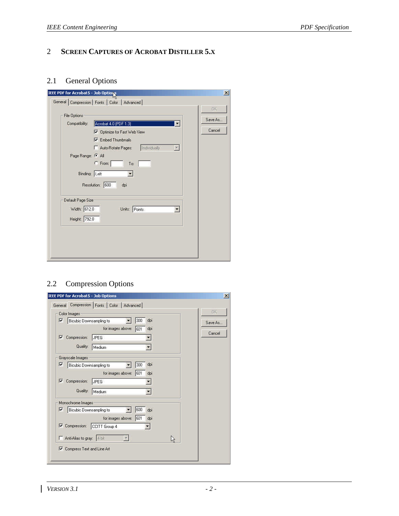## 2 **SCREEN CAPTURES OF ACROBAT DISTILLER 5.X**

## 2.1 General Options

| <b>File Options</b>          |                                                    | <b>OK</b> |
|------------------------------|----------------------------------------------------|-----------|
| Compatibility:               | Acrobat 4.0 (PDF 1.3)<br>$\ddot{\phantom{1}}$      | Save As   |
|                              | <b>V</b> Optimize for Fast Web View                | Cancel    |
|                              | <b>V</b> Embed Thumbnails                          |           |
|                              | Individually<br>Auto-Rotate Pages:<br>$\mathbf{x}$ |           |
| Page Range: <sup>( All</sup> |                                                    |           |
|                              | C From:<br>70:                                     |           |
|                              | Binding: Left                                      |           |
|                              | Resolution: 600<br>dpi                             |           |
| Default Page Size            |                                                    |           |
| Width: 612.0                 | Points<br>Units:<br>$\overline{\mathbf{r}}$        |           |
| Height: 792.0                |                                                    |           |
|                              |                                                    |           |
|                              |                                                    |           |

## 2.2 Compression Options

|                         | Color Images                |                   |            |         |
|-------------------------|-----------------------------|-------------------|------------|---------|
| $\overline{\mathbf{v}}$ | Bicubic Downsampling to     |                   | 300<br>dpi | Save As |
|                         |                             | for images above: | 601<br>dpi | Cancel  |
| ⊽                       | Compression:                | JPEG              |            |         |
|                         | Quality:                    | Medium            |            |         |
|                         | Grayscale Images            |                   |            |         |
| $\overline{\mathbf{v}}$ | Bicubic Downsampling to     |                   | dpi<br>300 |         |
|                         |                             | for images above: | 601<br>dpi |         |
| ⊽                       | Compression:                | JPEG              |            |         |
|                         | Quality:                    | Medium            |            |         |
|                         | Monochrome Images           |                   |            |         |
| $\overline{\mathbf{v}}$ | Bicubic Downsampling to     |                   | 600<br>dpi |         |
|                         |                             | for images above; | 601<br>dpi |         |
|                         | <b>V</b> Compression:       | CCITT Group 4     |            |         |
|                         | Anti-Alias to gray:   I bit |                   |            |         |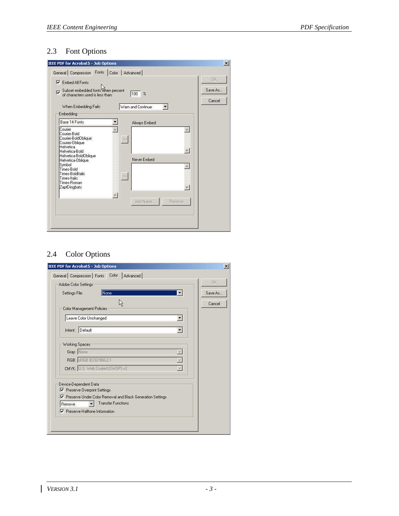## 2.3 Font Options

| IEEE PDF for Acrobat 5 - Job Options                                                                                                                                                                                                      |                                                           | $\vert x \vert$                |
|-------------------------------------------------------------------------------------------------------------------------------------------------------------------------------------------------------------------------------------------|-----------------------------------------------------------|--------------------------------|
| General Compression Fonts                                                                                                                                                                                                                 | Color   Advanced                                          |                                |
| $\nabla$ Embed All Fonts<br>Subset embedded fonts When percent<br>of characters used is less than:<br>$\overline{\mathbf{v}}$<br>When Embedding Fails:<br>Embedding                                                                       | 100 x<br>Warn and Continue<br>×                           | <b>OK</b><br>Save As<br>Cancel |
| Base 14 Fonts                                                                                                                                                                                                                             | Always Embed:                                             |                                |
| Courier<br>Courier-Bold<br>Courier-BoldOblique<br>Courier-Oblique<br>Helvetica<br>Helvetica-Bold<br>Helvetica-BoldOblique<br>Helvetica-Oblique<br>Symbol<br>Times-Bold<br>Times-BoldItalic<br>Times-Italic<br>Times-Roman<br>ZapfDingbats | ŵ<br>$22$<br>Never Embed:<br>$5\%$<br>Add Name.<br>Remove |                                |

## 2.4 Color Options

| Adobe Color Settings                                                                    | <b>OK</b> |
|-----------------------------------------------------------------------------------------|-----------|
| Settings File:<br>None                                                                  | Save As   |
| V.<br>Color Management Policies                                                         | Cancel    |
| Leave Color Unchanged                                                                   |           |
| Intent Default                                                                          |           |
| Working Spaces                                                                          |           |
| Gray: None                                                                              |           |
| RGB: RGB IEC51968-2-1                                                                   |           |
| CMYK: U.S. Web Coated (SWOP) v2                                                         |           |
| Device-Dependent Data                                                                   |           |
| Ⅳ Preserve Overprint Settings                                                           |           |
| Preserve Under Color Removal and Black Generation Settings<br><b>Transfer Functions</b> |           |
| Remove<br>$\nabla$ Preserve Halftone Information                                        |           |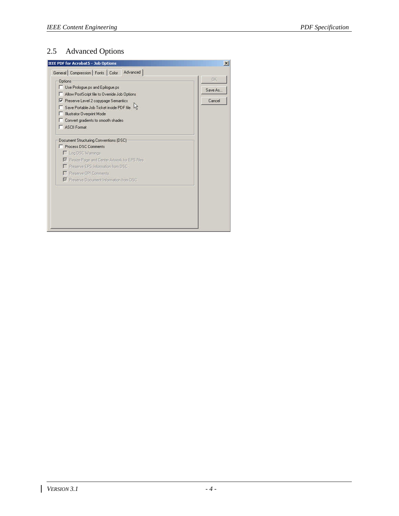## 2.5 Advanced Options

| Advanced<br>General Compression Fonts Color                                         |           |
|-------------------------------------------------------------------------------------|-----------|
| <b>Options</b>                                                                      | <b>OK</b> |
| Use Prologue ps and Epilogue.ps                                                     | Save As   |
| Allow PostScript file to Override Job Options                                       | Cancel    |
| Preserve Level 2 copypage Semantics<br>Save Portable Job Ticket inside PDF file     |           |
| <b>Illustrator Overprint Mode</b>                                                   |           |
| Convert gradients to smooth shades                                                  |           |
| <b>F</b> ASCII Formal                                                               |           |
|                                                                                     |           |
| Document Structuring Conventions (DSC)                                              |           |
| Process DSC Comments                                                                |           |
| Log DSC Warnings                                                                    |           |
| P Pleake Page and Center Artwork for EPS Files<br>Preserve EPS Information from DSC |           |
| Preserve DPI Comment:                                                               |           |
| F Preserve Document Information from DSD                                            |           |
|                                                                                     |           |
|                                                                                     |           |
|                                                                                     |           |
|                                                                                     |           |
|                                                                                     |           |
|                                                                                     |           |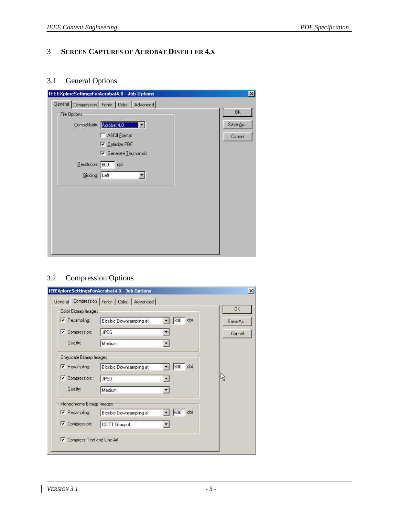## 3 **SCREEN CAPTURES OF ACROBAT DISTILLER 4.X**

## 3.1 General Options

| General Compression   Fonts   Color   Advanced |           |
|------------------------------------------------|-----------|
| File Options                                   | <b>OK</b> |
| Compatibility. Acrobat 4.0 11                  | Save As   |
| <b>F</b> ASCII Eormat                          | Cancel    |
| Optimize PDF                                   |           |
| $\nabla$ Generate Thumbnails                   |           |
| Resolution: 600<br>dpi                         |           |
| Binding Left                                   |           |
|                                                |           |
|                                                |           |
|                                                |           |
|                                                |           |
|                                                |           |
|                                                |           |
|                                                |           |
|                                                |           |

## 3.2 Compression Options

|                                                       | General Compression Fonts Color Advanced |                         |     | <b>OK</b> |
|-------------------------------------------------------|------------------------------------------|-------------------------|-----|-----------|
| Color Bitmap Images                                   |                                          |                         |     |           |
| Resampling:                                           | Bicubic Downsampling at                  | 300                     | dpi | Save As   |
| Compression:<br>⊽                                     | JPEG                                     |                         |     | Cancel    |
| Quality:                                              | Medium                                   |                         |     |           |
| Grayscale Bitmap Images                               |                                          |                         |     |           |
| <b>V</b> Resampling:                                  | Bicubic Downsampling at                  | 300                     | dpi |           |
| V<br>Compression:                                     | JPEG                                     | ۰                       |     | rg.       |
| Quality:                                              | Medium                                   | $\overline{\mathbf{v}}$ |     |           |
| Monochrome Bitmap Images                              |                                          |                         |     |           |
| V Resampling:                                         | Bicubic Downsampling at                  | 600                     | dpr |           |
| <b>V</b> Compression:                                 | CCITT Group 4                            |                         |     |           |
| Compress Text and Line Art<br>$\overline{\mathbf{v}}$ |                                          |                         |     |           |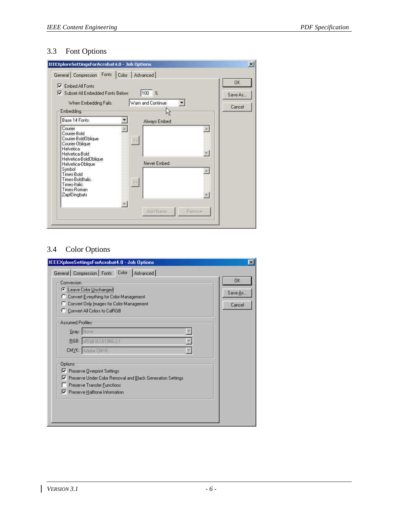## 3.3 Font Options

| Fonts<br>General Compression<br><b>Embed All Ennts:</b>                                                                                                                                                                                          | Advanced<br>Color                                              | <b>OK</b> |
|--------------------------------------------------------------------------------------------------------------------------------------------------------------------------------------------------------------------------------------------------|----------------------------------------------------------------|-----------|
| M<br>V Subset All Embedded Fonts Below:                                                                                                                                                                                                          | 100 %                                                          | Save As   |
| When Embedding Fails:                                                                                                                                                                                                                            | Warn and Continue                                              |           |
| Embedding                                                                                                                                                                                                                                        |                                                                | Cancel    |
| Base 14 Fonts                                                                                                                                                                                                                                    | Always Embed:                                                  |           |
| Courier<br>Courier-Bold<br>Courier-BoldOblique<br>Courier-Oblique<br><b>Helvetica</b><br>Helvetica-Bold<br>Helvetica-BoldOblique<br>Helvetica-Oblique<br>Symbol<br>Times-Bold<br>Times-BoldItalic<br>Times-Italic<br>Times-Roman<br>ZapfDingbats | $58\,$<br>Never Embed:<br>$\gg$<br>Add Name:<br><b>Flemove</b> |           |

## 3.4 Color Options

| Conversion                                                      | <b>OK</b> |
|-----------------------------------------------------------------|-----------|
| C Leave Color Unchanged                                         |           |
| C Convert Everything for Color Management                       | Save As   |
| Convert Only Images for Color Management                        | Cancel    |
| C Convert All Colors to CalRGB                                  |           |
| Assumed Profiles                                                |           |
| Gray: None                                                      |           |
| BGB: RGB IEC61986-2.1                                           |           |
| CMYK: Adobe OWYK                                                |           |
| <b>Options</b>                                                  |           |
| Ⅳ Preserve Overprint Settings                                   |           |
| Preserve Under Color Removal and Black Generation Settings<br>⊽ |           |
| Preserve Transfer Eunctions                                     |           |
| Preserve Halltone Information                                   |           |
|                                                                 |           |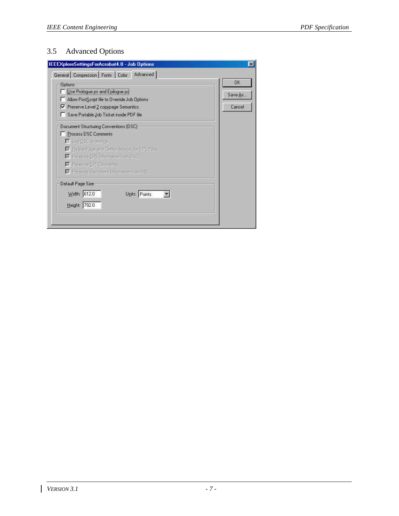## 3.5 Advanced Options

| IEEEXploreSettingsForAcrobat4.0 - Job Options<br>General Compression Fonts Color Advanced                                                                                                                                                                          |                         |
|--------------------------------------------------------------------------------------------------------------------------------------------------------------------------------------------------------------------------------------------------------------------|-------------------------|
| <b>Options</b><br>Use Prologue.ps and Epilogue.ps<br>Allow PostScript file to Override Job Options<br>Preserve Level 2 copypage Semantics<br>Save Portable Job Ticket inside PDF file                                                                              | OK<br>Save As<br>Cancel |
| Document Structuring Conventions (DSC)<br>Process DSC Comments<br>Filleg LSC Wernings:<br>F. Plesiae Page and Denter Artwork for EPS Files.<br>Preserve EPS Information from DSC<br><b>El Preserve CPI Comments:</b><br>M. Preserve Document Information from DSC. |                         |
| Default Page Size<br>Width: 612.0<br>Units: Points                                                                                                                                                                                                                 |                         |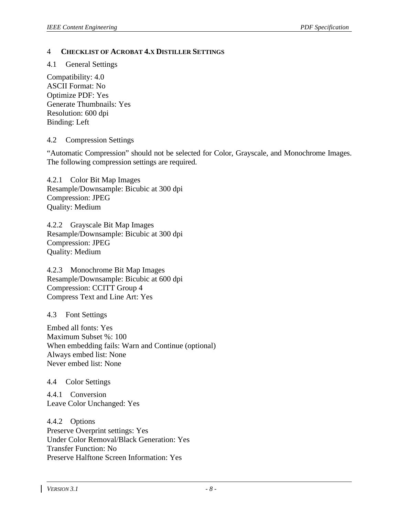#### 4 **CHECKLIST OF ACROBAT 4.X DISTILLER SETTINGS**

4.1 General Settings

Compatibility: 4.0 ASCII Format: No Optimize PDF: Yes Generate Thumbnails: Yes Resolution: 600 dpi Binding: Left

#### 4.2 Compression Settings

"Automatic Compression" should not be selected for Color, Grayscale, and Monochrome Images. The following compression settings are required.

4.2.1 Color Bit Map Images Resample/Downsample: Bicubic at 300 dpi Compression: JPEG Quality: Medium

4.2.2 Grayscale Bit Map Images Resample/Downsample: Bicubic at 300 dpi Compression: JPEG Quality: Medium

4.2.3 Monochrome Bit Map Images Resample/Downsample: Bicubic at 600 dpi Compression: CCITT Group 4 Compress Text and Line Art: Yes

4.3 Font Settings

Embed all fonts: Yes Maximum Subset %: 100 When embedding fails: Warn and Continue (optional) Always embed list: None Never embed list: None

4.4 Color Settings

4.4.1 Conversion Leave Color Unchanged: Yes

4.4.2 Options Preserve Overprint settings: Yes Under Color Removal/Black Generation: Yes Transfer Function: No Preserve Halftone Screen Information: Yes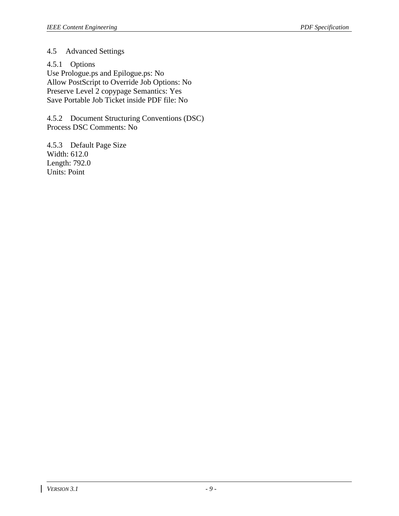#### 4.5 Advanced Settings

4.5.1 Options Use Prologue.ps and Epilogue.ps: No Allow PostScript to Override Job Options: No Preserve Level 2 copypage Semantics: Yes Save Portable Job Ticket inside PDF file: No

4.5.2 Document Structuring Conventions (DSC) Process DSC Comments: No

4.5.3 Default Page Size Width: 612.0 Length: 792.0 Units: Point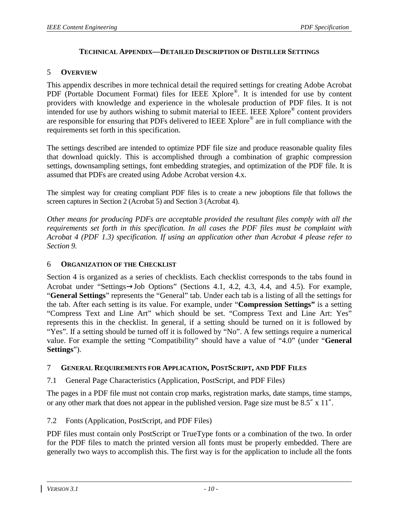#### **TECHNICAL APPENDIX—DETAILED DESCRIPTION OF DISTILLER SETTINGS**

#### 5 **OVERVIEW**

This appendix describes in more technical detail the required settings for creating Adobe Acrobat PDF (Portable Document Format) files for IEEE Xplore®. It is intended for use by content providers with knowledge and experience in the wholesale production of PDF files. It is not intended for use by authors wishing to submit material to IEEE. IEEE Xplore<sup>®</sup> content providers are responsible for ensuring that PDFs delivered to IEEE Xplore<sup>®</sup> are in full compliance with the requirements set forth in this specification.

The settings described are intended to optimize PDF file size and produce reasonable quality files that download quickly. This is accomplished through a combination of graphic compression settings, downsampling settings, font embedding strategies, and optimization of the PDF file. It is assumed that PDFs are created using Adobe Acrobat version 4.x.

The simplest way for creating compliant PDF files is to create a new joboptions file that follows the screen captures in Section 2 (Acrobat 5) and Section 3 (Acrobat 4).

*Other means for producing PDFs are acceptable provided the resultant files comply with all the requirements set forth in this specification. In all cases the PDF files must be complaint with Acrobat 4 (PDF 1.3) specification. If using an application other than Acrobat 4 please refer to Section 9.*

#### 6 **ORGANIZATION OF THE CHECKLIST**

Section 4 is organized as a series of checklists. Each checklist corresponds to the tabs found in Acrobat under "Settings→Job Options" (Sections 4.1, 4.2, 4.3, 4.4, and 4.5). For example, "**General Settings**" represents the "General" tab. Under each tab is a listing of all the settings for the tab. After each setting is its value. For example, under "**Compression Settings"** is a setting "Compress Text and Line Art" which should be set. "Compress Text and Line Art: Yes" represents this in the checklist. In general, if a setting should be turned on it is followed by "Yes". If a setting should be turned off it is followed by "No". A few settings require a numerical value. For example the setting "Compatibility" should have a value of "4.0" (under "**General Settings**").

#### 7 **GENERAL REQUIREMENTS FOR APPLICATION, POSTSCRIPT, AND PDF FILES**

7.1 General Page Characteristics (Application, PostScript, and PDF Files)

The pages in a PDF file must not contain crop marks, registration marks, date stamps, time stamps, or any other mark that does not appear in the published version. Page size must be  $8.5''$  x 11".

#### 7.2 Fonts (Application, PostScript, and PDF Files)

PDF files must contain only PostScript or TrueType fonts or a combination of the two. In order for the PDF files to match the printed version all fonts must be properly embedded. There are generally two ways to accomplish this. The first way is for the application to include all the fonts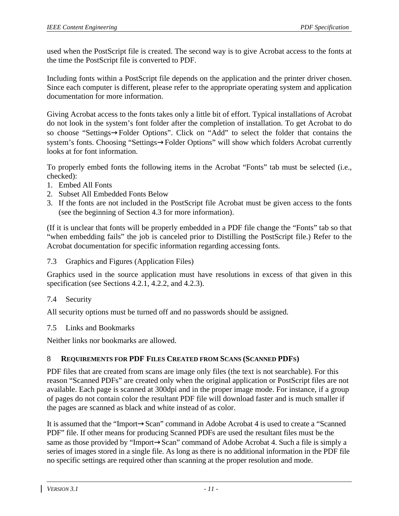used when the PostScript file is created. The second way is to give Acrobat access to the fonts at the time the PostScript file is converted to PDF.

Including fonts within a PostScript file depends on the application and the printer driver chosen. Since each computer is different, please refer to the appropriate operating system and application documentation for more information.

Giving Acrobat access to the fonts takes only a little bit of effort. Typical installations of Acrobat do not look in the system's font folder after the completion of installation. To get Acrobat to do so choose "Settings→Folder Options". Click on "Add" to select the folder that contains the system's fonts. Choosing "Settings→Folder Options" will show which folders Acrobat currently looks at for font information.

To properly embed fonts the following items in the Acrobat "Fonts" tab must be selected (i.e., checked):

- 1. Embed All Fonts
- 2. Subset All Embedded Fonts Below
- 3. If the fonts are not included in the PostScript file Acrobat must be given access to the fonts (see the beginning of Section 4.3 for more information).

(If it is unclear that fonts will be properly embedded in a PDF file change the "Fonts" tab so that "when embedding fails" the job is canceled prior to Distilling the PostScript file.) Refer to the Acrobat documentation for specific information regarding accessing fonts.

#### 7.3 Graphics and Figures (Application Files)

Graphics used in the source application must have resolutions in excess of that given in this specification (see Sections 4.2.1, 4.2.2, and 4.2.3).

#### 7.4 Security

All security options must be turned off and no passwords should be assigned.

#### 7.5 Links and Bookmarks

Neither links nor bookmarks are allowed.

#### 8 **REQUIREMENTS FOR PDF FILES CREATED FROM SCANS (SCANNED PDFS)**

PDF files that are created from scans are image only files (the text is not searchable). For this reason "Scanned PDFs" are created only when the original application or PostScript files are not available. Each page is scanned at 300dpi and in the proper image mode. For instance, if a group of pages do not contain color the resultant PDF file will download faster and is much smaller if the pages are scanned as black and white instead of as color.

It is assumed that the "Import→Scan" command in Adobe Acrobat 4 is used to create a "Scanned PDF" file. If other means for producing Scanned PDFs are used the resultant files must be the same as those provided by "Import→Scan" command of Adobe Acrobat 4. Such a file is simply a series of images stored in a single file. As long as there is no additional information in the PDF file no specific settings are required other than scanning at the proper resolution and mode.